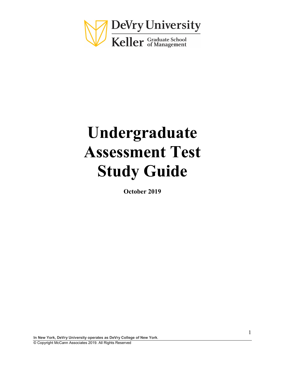

# **Undergraduate Assessment Test Study Guide**

**October 2019**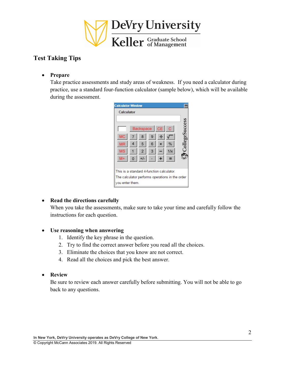

## **Test Taking Tips**

• **Prepare**

Take practice assessments and study areas of weakness. If you need a calculator during practice, use a standard four-function calculator (sample below), which will be available during the assessment.

|           |                | Backspace CE C |   |           |     |  |
|-----------|----------------|----------------|---|-----------|-----|--|
| <b>MC</b> | $\overline{7}$ | 8              | 9 | ÷         |     |  |
| <b>MR</b> | 4              | 5              | 6 | ×         | %   |  |
| <b>MS</b> |                | $\overline{2}$ | 3 |           | 1/x |  |
| $M+$      | $\Omega$       | $+/-$          |   | $\ddot{}$ |     |  |

## • **Read the directions carefully**

When you take the assessments, make sure to take your time and carefully follow the instructions for each question.

#### • **Use reasoning when answering**

- 1. Identify the key phrase in the question.
- 2. Try to find the correct answer before you read all the choices.
- 3. Eliminate the choices that you know are not correct.
- 4. Read all the choices and pick the best answer.
- **Review**

Be sure to review each answer carefully before submitting. You will not be able to go back to any questions.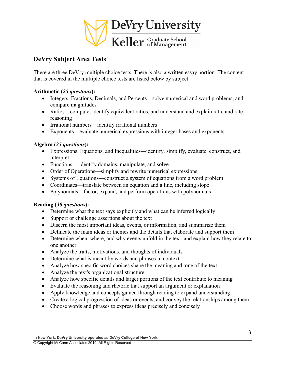

# **DeVry Subject Area Tests**

There are three DeVry multiple choice tests. There is also a written essay portion. The content that is covered in the multiple choice tests are listed below by subject:

#### **Arithmetic (***25 questions***):**

- Integers, Fractions, Decimals, and Percents—solve numerical and word problems, and compare magnitudes
- Ratios—compute, identify equivalent ratios, and understand and explain ratio and rate reasoning
- Irrational numbers—identify irrational numbers
- Exponents—evaluate numerical expressions with integer bases and exponents

## **Algebra (***25 questions***):**

- Expressions, Equations, and Inequalities—identify, simplify, evaluate, construct, and interpret
- Functions— identify domains, manipulate, and solve
- Order of Operations—simplify and rewrite numerical expressions
- Systems of Equations—construct a system of equations from a word problem
- Coordinates—translate between an equation and a line, including slope
- Polynomials—factor, expand, and perform operations with polynomials

## **Reading (***30 questions***):**

- Determine what the text says explicitly and what can be inferred logically
- Support or challenge assertions about the text
- Discern the most important ideas, events, or information, and summarize them
- Delineate the main ideas or themes and the details that elaborate and support them
- Determine when, where, and why events unfold in the text, and explain how they relate to one another
- Analyze the traits, motivations, and thoughts of individuals
- Determine what is meant by words and phrases in context
- Analyze how specific word choices shape the meaning and tone of the text
- Analyze the text's organizational structure
- Analyze how specific details and larger portions of the text contribute to meaning
- Evaluate the reasoning and rhetoric that support an argument or explanation
- Apply knowledge and concepts gained through reading to expand understanding
- Create a logical progression of ideas or events, and convey the relationships among them
- Choose words and phrases to express ideas precisely and concisely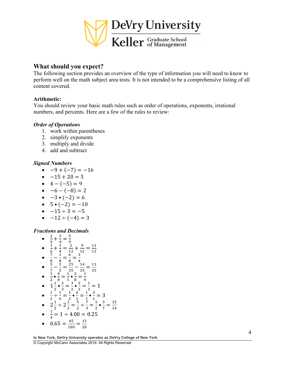

## **What should you expect?**

The following section provides an overview of the type of information you will need to know to perform well on the math subject area tests. It is not intended to be a comprehensive listing of all content covered.

#### **Arithmetic:**

You should review your basic math rules such as order of operations, exponents, irrational numbers, and percents. Here are a few of the rules to review:

#### *Order of Operations*

- 1. work within parentheses
- 2. simplify exponents
- 3. multiply and divide
- 4. add and subtract

#### *Signed Numbers*

- $-9 + (-7) = -16$
- $-15 + 20 = 5$
- $4 (-5) = 9$
- $-6 (-8) = 2$
- $-3 \cdot (-2) = 6$
- $5 \cdot (-2) = -10$
- $-15 \div 3 = -5$
- $-12 \div (-4) = 3$

#### *Fractions and Decimals*

- $\frac{2}{9} + \frac{3}{9} = \frac{5}{9}$ <br>
 $\frac{1}{6} + \frac{3}{4} = \frac{2}{12} + \frac{9}{12} = \frac{11}{12}$ <br>
 $\frac{7}{8} \frac{1}{8} = \frac{6}{8} = \frac{3}{4}$ <br>
 $\frac{5}{7} \frac{2}{5} = \frac{25}{35} \frac{14}{35} = \frac{11}{35}$ <br>
 $\frac{1}{2} \cdot \frac{4}{8} = \frac{1}{1} \cdot \frac{2}{8} = \frac{1}{4}$ <br>
 $\frac{1}{$ •  $\frac{1}{2} \div \frac{1}{6} = \frac{1}{2} \cdot \frac{6}{1} = \frac{1}{2} \cdot \frac{3}{1} = 3$ •  $2\frac{1}{2} \div 2\frac{1}{3} = \frac{5}{2} \div \frac{7}{3} = \frac{5}{2} \cdot \frac{3}{7} = \frac{15}{14}$ <br>•  $\frac{1}{7} = 1 \div 4.00 = 0.25$  $\frac{1}{4}$  = 1 ÷ 4.00 = 0.25
- $0.65 = \frac{65}{100} = \frac{13}{20}$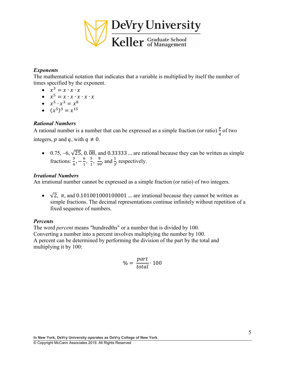

## *Exponents*

The mathematical notation that indicates that a variable is multiplied by itself the number of times specified by the exponent.

- $x^3 = x \cdot x \cdot x$
- $x^5 = x \cdot x \cdot x \cdot x \cdot x$

$$
\bullet \quad x^5 \cdot x^3 = x^8
$$

•  $(x^5)^3 = x^{15}$ 

#### *Rational Numbers*

A rational number is a number that can be expressed as a simple fraction (or ratio)  $\frac{p}{q}$  $\frac{p}{q}$  of two integers, p and q, with  $q \neq 0$ .

• 0.75, –6,  $\sqrt{25}$ , 0.  $\overline{08}$ , and 0.33333 ... are rational because they can be written as simple fractions:  $\frac{3}{4}$ ,  $-\frac{6}{1}$ ,  $\frac{5}{1}$ ,  $\frac{8}{99}$ , and  $\frac{1}{3}$ , respectively.

#### *Irrational Numbers*

An irrational number cannot be expressed as a simple fraction (or ratio) of two integers.

•  $\sqrt{2}$ ,  $\pi$ , and 0.101001000100001 ... are irrational because they cannot be written as simple fractions. The decimal representations continue infinitely without repetition of a fixed sequence of numbers.

## *Percents*

The word *percent* means "hundredths" or a number that is divided by 100. Converting a number into a percent involves multiplying the number by 100. A percent can be determined by performing the division of the part by the total and multiplying it by 100:

$$
\% = \frac{part}{total} \cdot 100
$$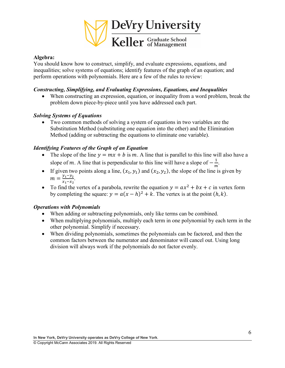

#### **Algebra:**

You should know how to construct, simplify, and evaluate expressions, equations, and inequalities; solve systems of equations; identify features of the graph of an equation; and perform operations with polynomials. Here are a few of the rules to review:

#### *Constructing, Simplifying, and Evaluating Expressions, Equations, and Inequalities*

• When constructing an expression, equation, or inequality from a word problem, break the problem down piece-by-piece until you have addressed each part.

#### *Solving Systems of Equations*

• Two common methods of solving a system of equations in two variables are the Substitution Method (substituting one equation into the other) and the Elimination Method (adding or subtracting the equations to eliminate one variable).

## *Identifying Features of the Graph of an Equation*

- The slope of the line  $y = mx + b$  is m. A line that is parallel to this line will also have a slope of m. A line that is perpendicular to this line will have a slope of  $-\frac{1}{m}$ .
- If given two points along a line,  $(x_1, y_1)$  and  $(x_2, y_2)$ , the slope of the line is given by  $m = \frac{y_1 - y_2}{x_1 - x_2}$ .
- To find the vertex of a parabola, rewrite the equation  $y = ax^2 + bx + c$  in vertex form by completing the square:  $y = a(x - h)^2 + k$ . The vertex is at the point  $(h, k)$ .

#### *Operations with Polynomials*

- When adding or subtracting polynomials, only like terms can be combined.
- When multiplying polynomials, multiply each term in one polynomial by each term in the other polynomial. Simplify if necessary.
- When dividing polynomials, sometimes the polynomials can be factored, and then the common factors between the numerator and denominator will cancel out. Using long division will always work if the polynomials do not factor evenly.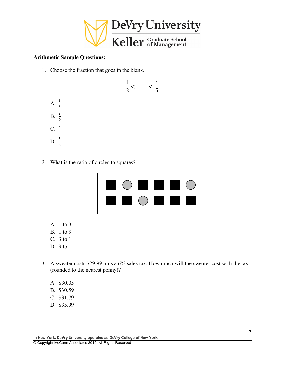

#### **Arithmetic Sample Questions:**

A.  $\frac{1}{3}$ 

B.  $\frac{2}{4}$ 

C.  $\frac{2}{3}$ 

D.  $\frac{5}{6}$ 

1. Choose the fraction that goes in the blank.



2. What is the ratio of circles to squares?



- A. 1 to 3
- B. 1 to 9
- C. 3 to 1
- D. 9 to 1
- 3. A sweater costs \$29.99 plus a 6% sales tax. How much will the sweater cost with the tax (rounded to the nearest penny)?
	- A. \$30.05
	- B. \$30.59
	- C. \$31.79
	- D. \$35.99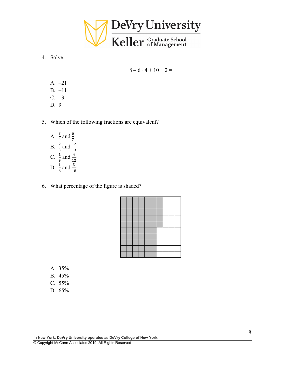

4. Solve.

$$
8 - 6 \cdot 4 + 10 \div 2 =
$$

- A. –21
- B. –11
- C. –3 D. 9
- 5. Which of the following fractions are equivalent?
	- A.  $\frac{3}{4}$  and  $\frac{6}{7}$ B.  $\frac{2}{3}$  and  $\frac{12}{13}$ C.  $\frac{1}{9}$  and  $\frac{4}{12}$ D.  $\frac{1}{6}$  and  $\frac{3}{18}$
- 6. What percentage of the figure is shaded?

- A. 35%
- B. 45%
- C. 55%
- D. 65%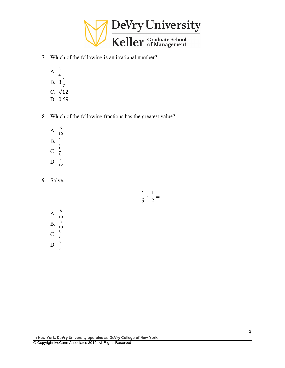

- 7. Which of the following is an irrational number?
	- A.  $\frac{5}{4}$ B.  $3\frac{1}{7}$ C.  $\sqrt{12}$ D. 0.59
- 8. Which of the following fractions has the greatest value?
	- A.  $\frac{6}{10}$ B.  $\frac{2}{3}$  $C. \ \frac{5}{8}$ D.  $\frac{7}{12}$
- 9. Solve.

$$
\frac{4}{5} \div \frac{1}{2} =
$$

A.  $\frac{8}{10}$ B.  $\frac{4}{10}$  $C. \ \frac{8}{5}$ D.  $\frac{6}{5}$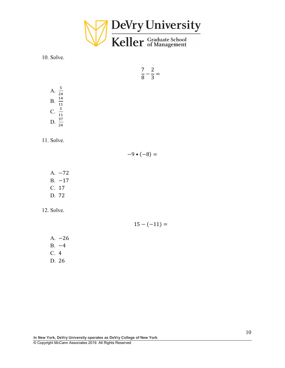

10. Solve.

$$
\frac{7}{8} - \frac{2}{3} =
$$

A.  $\frac{5}{24}$ B.  $\frac{14}{11}$ C.  $\frac{5}{11}$ 

D.  $\frac{37}{24}$ 

11. Solve.

 $-9 \cdot (-8) =$ 

A. −72 B. −17 C. 17 D. 72

12. Solve.

 $15 - (-11) =$ 

A. −26 B.  $-4$ C. 4 D. 26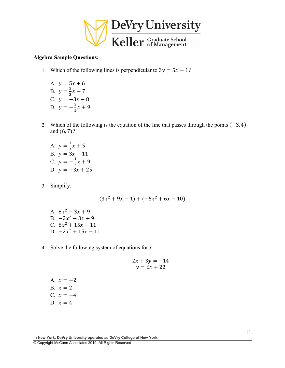

#### **Algebra Sample Questions:**

- 1. Which of the following lines is perpendicular to  $3y = 5x 1$ ?
	- A.  $y = 5x + 6$ B.  $y = \frac{5}{3}x - 7$ C.  $y = -3x - 8$ D.  $y = -\frac{3}{5}x + 9$
- 2. Which of the following is the equation of the line that passes through the points (−3, 4) and (6, 7)?
	- A.  $y = \frac{1}{3}x + 5$ B.  $y = 3x - 11$ C.  $y = -\frac{1}{3}x + 9$ D.  $y = -3x + 25$
- 3. Simplify.

 $(3x<sup>2</sup> + 9x - 1) + (-5x<sup>2</sup> + 6x - 10)$ 

- A.  $8x^2 3x + 9$ B.  $-2x^2 - 3x + 9$ C.  $8x^2 + 15x - 11$ D.  $-2x^2 + 15x - 11$
- 4. Solve the following system of equations for  $x$ .

$$
2x + 3y = -14
$$
  

$$
y = 6x + 22
$$

A.  $x = -2$ B.  $x = 2$ C.  $x = -4$ D.  $x=4$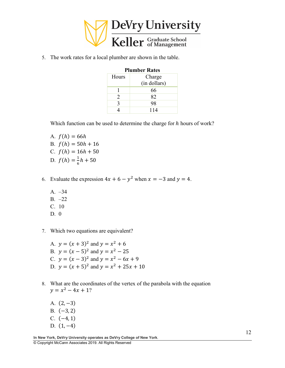

5. The work rates for a local plumber are shown in the table.

| <b>Plumber Rates</b> |              |  |  |
|----------------------|--------------|--|--|
| Hours                | Charge       |  |  |
|                      | (in dollars) |  |  |
|                      | 66           |  |  |
| 2                    | 82           |  |  |
| 3                    | 98           |  |  |
|                      | 114          |  |  |

Which function can be used to determine the charge for  $h$  hours of work?

- A.  $f(h) = 66h$ B.  $f(h) = 50h + 16$ C.  $f(h) = 16h + 50$ D.  $f(h) = \frac{1}{6}h + 50$
- 6. Evaluate the expression  $4x + 6 y^2$  when  $x = -3$  and  $y = 4$ .
	- A. –34 B. –22
	- C. 10
	- D. 0
- 7. Which two equations are equivalent?
	- A.  $y = (x + 3)^2$  and  $y = x^2 + 6$ B.  $y = (x - 5)^2$  and  $y = x^2 - 25$ C.  $y = (x - 3)^2$  and  $y = x^2 - 6x + 9$ D.  $y = (x + 5)^2$  and  $y = x^2 + 25x + 10$
- 8. What are the coordinates of the vertex of the parabola with the equation  $y = x^2 - 4x + 1?$ 
	- A.  $(2, -3)$ B.  $(-3, 2)$ C.  $(-4, 1)$ D.  $(1, -4)$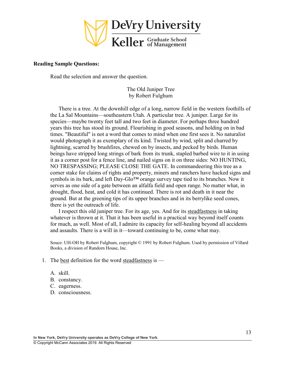

#### **Reading Sample Questions:**

Read the selection and answer the question.

The Old Juniper Tree by Robert Fulghum

There is a tree. At the downhill edge of a long, narrow field in the western foothills of the La Sal Mountains—southeastern Utah. A particular tree. A juniper. Large for its species—maybe twenty feet tall and two feet in diameter. For perhaps three hundred years this tree has stood its ground. Flourishing in good seasons, and holding on in bad times. "Beautiful" is not a word that comes to mind when one first sees it. No naturalist would photograph it as exemplary of its kind. Twisted by wind, split and charred by lightning, scarred by brushfires, chewed on by insects, and pecked by birds. Human beings have stripped long strings of bark from its trunk, stapled barbed wire to it in using it as a corner post for a fence line, and nailed signs on it on three sides: NO HUNTING, NO TRESPASSING; PLEASE CLOSE THE GATE. In commandeering this tree as a corner stake for claims of rights and property, miners and ranchers have hacked signs and symbols in its bark, and left Day-Glo™ orange survey tape tied to its branches. Now it serves as one side of a gate between an alfalfa field and open range. No matter what, in drought, flood, heat, and cold it has continued. There is rot and death in it near the ground. But at the greening tips of its upper branches and in its berrylike seed cones, there is yet the outreach of life.

I respect this old juniper tree. For its age, yes. And for its steadfastness in taking whatever is thrown at it. That it has been useful in a practical way beyond itself counts for much, as well. Most of all, I admire its capacity for self-healing beyond all accidents and assaults. There is a will in it—toward continuing to be, come what may.

Souce: UH-OH by Robert Fulghum, copyright © 1991 by Robert Fulghum. Used by permission of Villard Books, a division of Random House, Inc.

- 1. The best definition for the word steadfastness is
	- A. skill.
	- B. constancy.
	- C. eagerness.
	- D. consciousness.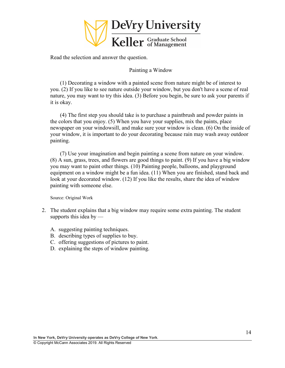

Read the selection and answer the question.

Painting a Window

(1) Decorating a window with a painted scene from nature might be of interest to you. (2) If you like to see nature outside your window, but you don't have a scene of real nature, you may want to try this idea. (3) Before you begin, be sure to ask your parents if it is okay.

(4) The first step you should take is to purchase a paintbrush and powder paints in the colors that you enjoy. (5) When you have your supplies, mix the paints, place newspaper on your windowsill, and make sure your window is clean. (6) On the inside of your window, it is important to do your decorating because rain may wash away outdoor painting.

(7) Use your imagination and begin painting a scene from nature on your window. (8) A sun, grass, trees, and flowers are good things to paint. (9) If you have a big window you may want to paint other things. (10) Painting people, balloons, and playground equipment on a window might be a fun idea. (11) When you are finished, stand back and look at your decorated window. (12) If you like the results, share the idea of window painting with someone else.

Source: Original Work

- 2. The student explains that a big window may require some extra painting. The student supports this idea by —
	- A. suggesting painting techniques.
	- B. describing types of supplies to buy.
	- C. offering suggestions of pictures to paint.
	- D. explaining the steps of window painting.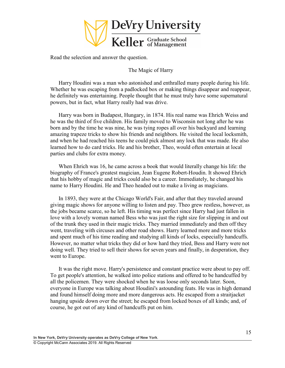

Read the selection and answer the question.

#### The Magic of Harry

Harry Houdini was a man who astonished and enthralled many people during his life. Whether he was escaping from a padlocked box or making things disappear and reappear, he definitely was entertaining. People thought that he must truly have some supernatural powers, but in fact, what Harry really had was drive.

Harry was born in Budapest, Hungary, in 1874. His real name was Ehrich Weiss and he was the third of five children. His family moved to Wisconsin not long after he was born and by the time he was nine, he was tying ropes all over his backyard and learning amazing trapeze tricks to show his friends and neighbors. He visited the local locksmith, and when he had reached his teens he could pick almost any lock that was made. He also learned how to do card tricks. He and his brother, Theo, would often entertain at local parties and clubs for extra money.

When Ehrich was 16, he came across a book that would literally change his life: the biography of France's greatest magician, Jean Eugene Robert-Houdin. It showed Ehrich that his hobby of magic and tricks could also be a career. Immediately, he changed his name to Harry Houdini. He and Theo headed out to make a living as magicians.

In 1893, they were at the Chicago World's Fair, and after that they traveled around giving magic shows for anyone willing to listen and pay. Theo grew restless, however, as the jobs became scarce, so he left. His timing was perfect since Harry had just fallen in love with a lovely woman named Bess who was just the right size for slipping in and out of the trunk they used in their magic tricks. They married immediately and then off they went, traveling with circuses and other road shows. Harry learned more and more tricks and spent much of his time reading and studying all kinds of locks, especially handcuffs. However, no matter what tricks they did or how hard they tried, Bess and Harry were not doing well. They tried to sell their shows for seven years and finally, in desperation, they went to Europe.

It was the right move. Harry's persistence and constant practice were about to pay off. To get people's attention, he walked into police stations and offered to be handcuffed by all the policemen. They were shocked when he was loose only seconds later. Soon, everyone in Europe was talking about Houdini's astounding feats. He was in high demand and found himself doing more and more dangerous acts. He escaped from a straitjacket hanging upside down over the street; he escaped from locked boxes of all kinds; and, of course, he got out of any kind of handcuffs put on him.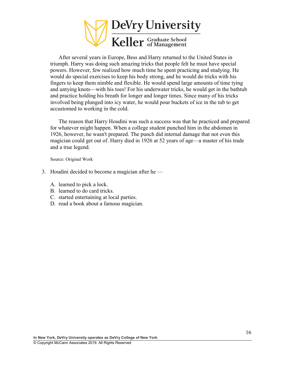

After several years in Europe, Bess and Harry returned to the United States in triumph. Harry was doing such amazing tricks that people felt he must have special powers. However, few realized how much time he spent practicing and studying. He would do special exercises to keep his body strong, and he would do tricks with his fingers to keep them nimble and flexible. He would spend large amounts of time tying and untying knots—with his toes! For his underwater tricks, he would get in the bathtub and practice holding his breath for longer and longer times. Since many of his tricks involved being plunged into icy water, he would pour buckets of ice in the tub to get accustomed to working in the cold.

The reason that Harry Houdini was such a success was that he practiced and prepared for whatever might happen. When a college student punched him in the abdomen in 1926, however, he wasn't prepared. The punch did internal damage that not even this magician could get out of. Harry died in 1926 at 52 years of age—a master of his trade and a true legend.

Source: Original Work

- 3. Houdini decided to become a magician after he
	- A. learned to pick a lock.
	- B. learned to do card tricks.
	- C. started entertaining at local parties.
	- D. read a book about a famous magician.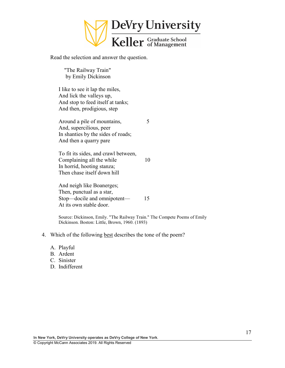

Read the selection and answer the question.

 "The Railway Train" by Emily Dickinson

I like to see it lap the miles, And lick the valleys up, And stop to feed itself at tanks; And then, prodigious, step

Around a pile of mountains, 5 And, supercilious, peer In shanties by the sides of roads; And then a quarry pare

To fit its sides, and crawl between, Complaining all the while 10 In horrid, hooting stanza; Then chase itself down hill

And neigh like Boanerges; Then, punctual as a star, Stop—docile and omnipotent— 15 At its own stable door.

Source: Dickinson, Emily. "The Railway Train." The Compete Poems of Emily Dickinson. Boston: Little, Brown, 1960. (1893)

- 4. Which of the following best describes the tone of the poem?
	- A. Playful
	- B. Ardent
	- C. Sinister
	- D. Indifferent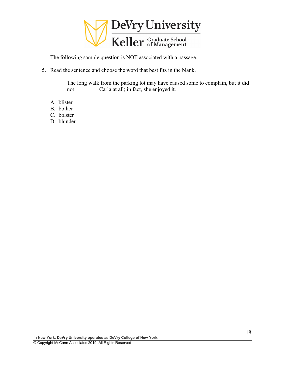

The following sample question is NOT associated with a passage.

5. Read the sentence and choose the word that best fits in the blank.

The long walk from the parking lot may have caused some to complain, but it did not \_\_\_\_\_\_\_\_ Carla at all; in fact, she enjoyed it.

- A. blister
- B. bother
- C. bolster
- D. blunder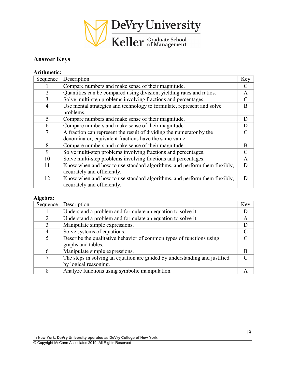

# **Answer Keys**

#### **Arithmetic:**

| Sequence       | Description                                                                                             | Key           |
|----------------|---------------------------------------------------------------------------------------------------------|---------------|
|                | Compare numbers and make sense of their magnitude.                                                      | C             |
| $\overline{2}$ | Quantities can be compared using division, yielding rates and ratios.                                   | A             |
| $\overline{3}$ | Solve multi-step problems involving fractions and percentages.                                          | $\mathbf C$   |
| $\overline{4}$ | Use mental strategies and technology to formulate, represent and solve<br>problems.                     | $\mathbf{B}$  |
| 5              | Compare numbers and make sense of their magnitude.                                                      | D             |
| 6              | Compare numbers and make sense of their magnitude.                                                      | D             |
| 7              | A fraction can represent the result of dividing the numerator by the                                    | $\mathcal{C}$ |
|                | denominator; equivalent fractions have the same value.                                                  |               |
| 8              | Compare numbers and make sense of their magnitude.                                                      | B             |
| 9              | Solve multi-step problems involving fractions and percentages.                                          | $\mathcal{C}$ |
| 10             | Solve multi-step problems involving fractions and percentages.                                          | $\mathbf{A}$  |
| 11             | Know when and how to use standard algorithms, and perform them flexibly,                                | D             |
|                | accurately and efficiently.                                                                             |               |
| 12             | Know when and how to use standard algorithms, and perform them flexibly,<br>accurately and efficiently. | D             |

## **Algebra:**

| Sequence | Description                                                                | Key           |
|----------|----------------------------------------------------------------------------|---------------|
|          | Understand a problem and formulate an equation to solve it.                | D             |
|          | Understand a problem and formulate an equation to solve it.                | A             |
| 3        | Manipulate simple expressions.                                             | D             |
| 4        | Solve systems of equations.                                                | $\mathcal{C}$ |
| 5        | Describe the qualitative behavior of common types of functions using       | $\mathcal{C}$ |
|          | graphs and tables.                                                         |               |
| 6        | Manipulate simple expressions.                                             | B             |
| 7        | The steps in solving an equation are guided by understanding and justified |               |
|          | by logical reasoning.                                                      |               |
| 8        | Analyze functions using symbolic manipulation.                             |               |